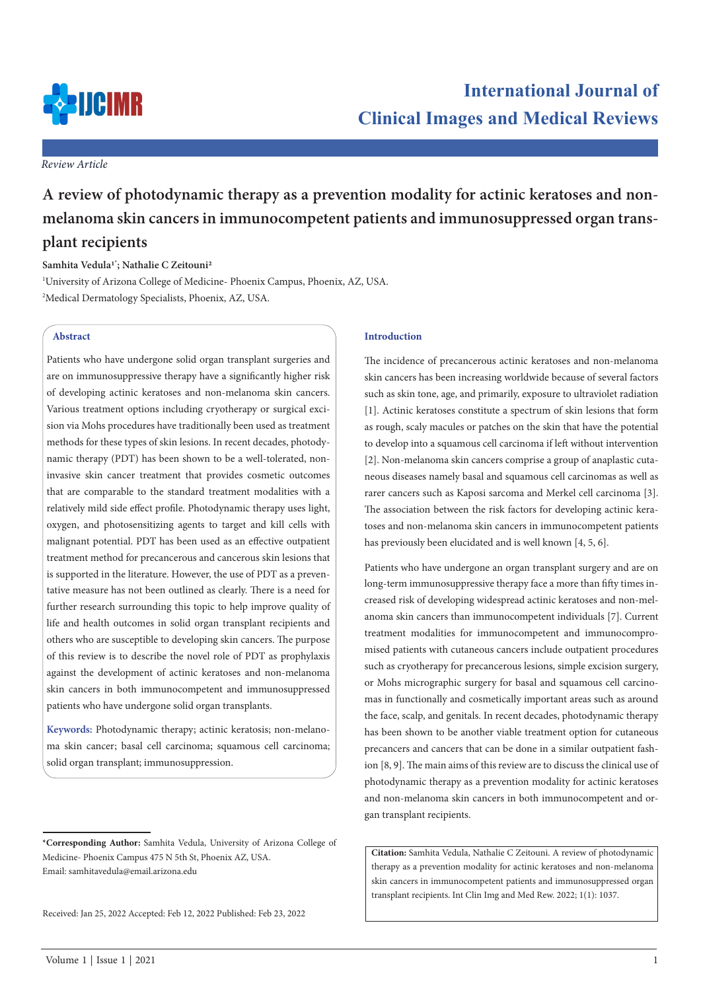

*Review Article*

# **A review of photodynamic therapy as a prevention modality for actinic keratoses and nonmelanoma skin cancers in immunocompetent patients and immunosuppressed organ transplant recipients**

# **Samhita Vedula1\* ; Nathalie C Zeitouni2**

1 University of Arizona College of Medicine- Phoenix Campus, Phoenix, AZ, USA. 2 Medical Dermatology Specialists, Phoenix, AZ, USA.

# **Abstract**

Patients who have undergone solid organ transplant surgeries and are on immunosuppressive therapy have a significantly higher risk of developing actinic keratoses and non-melanoma skin cancers. Various treatment options including cryotherapy or surgical excision via Mohs procedures have traditionally been used as treatment methods for these types of skin lesions. In recent decades, photodynamic therapy (PDT) has been shown to be a well-tolerated, noninvasive skin cancer treatment that provides cosmetic outcomes that are comparable to the standard treatment modalities with a relatively mild side effect profile. Photodynamic therapy uses light, oxygen, and photosensitizing agents to target and kill cells with malignant potential. PDT has been used as an effective outpatient treatment method for precancerous and cancerous skin lesions that is supported in the literature. However, the use of PDT as a preventative measure has not been outlined as clearly. There is a need for further research surrounding this topic to help improve quality of life and health outcomes in solid organ transplant recipients and others who are susceptible to developing skin cancers. The purpose of this review is to describe the novel role of PDT as prophylaxis against the development of actinic keratoses and non-melanoma skin cancers in both immunocompetent and immunosuppressed patients who have undergone solid organ transplants.

**Keywords:** Photodynamic therapy; actinic keratosis; non-melanoma skin cancer; basal cell carcinoma; squamous cell carcinoma; solid organ transplant; immunosuppression.

Received: Jan 25, 2022 Accepted: Feb 12, 2022 Published: Feb 23, 2022

# **Introduction**

The incidence of precancerous actinic keratoses and non-melanoma skin cancers has been increasing worldwide because of several factors such as skin tone, age, and primarily, exposure to ultraviolet radiation [1]. Actinic keratoses constitute a spectrum of skin lesions that form as rough, scaly macules or patches on the skin that have the potential to develop into a squamous cell carcinoma if left without intervention [2]. Non-melanoma skin cancers comprise a group of anaplastic cutaneous diseases namely basal and squamous cell carcinomas as well as rarer cancers such as Kaposi sarcoma and Merkel cell carcinoma [3]. The association between the risk factors for developing actinic keratoses and non-melanoma skin cancers in immunocompetent patients has previously been elucidated and is well known [4, 5, 6].

Patients who have undergone an organ transplant surgery and are on long-term immunosuppressive therapy face a more than fifty times increased risk of developing widespread actinic keratoses and non-melanoma skin cancers than immunocompetent individuals [7]. Current treatment modalities for immunocompetent and immunocompromised patients with cutaneous cancers include outpatient procedures such as cryotherapy for precancerous lesions, simple excision surgery, or Mohs micrographic surgery for basal and squamous cell carcinomas in functionally and cosmetically important areas such as around the face, scalp, and genitals. In recent decades, photodynamic therapy has been shown to be another viable treatment option for cutaneous precancers and cancers that can be done in a similar outpatient fashion [8, 9]. The main aims of this review are to discuss the clinical use of photodynamic therapy as a prevention modality for actinic keratoses and non-melanoma skin cancers in both immunocompetent and organ transplant recipients.

**Citation:** Samhita Vedula, Nathalie C Zeitouni. A review of photodynamic therapy as a prevention modality for actinic keratoses and non-melanoma skin cancers in immunocompetent patients and immunosuppressed organ transplant recipients. Int Clin Img and Med Rew. 2022; 1(1): 1037.

**<sup>\*</sup>Corresponding Author:** Samhita Vedula, University of Arizona College of Medicine- Phoenix Campus 475 N 5th St, Phoenix AZ, USA. Email: samhitavedula@email.arizona.edu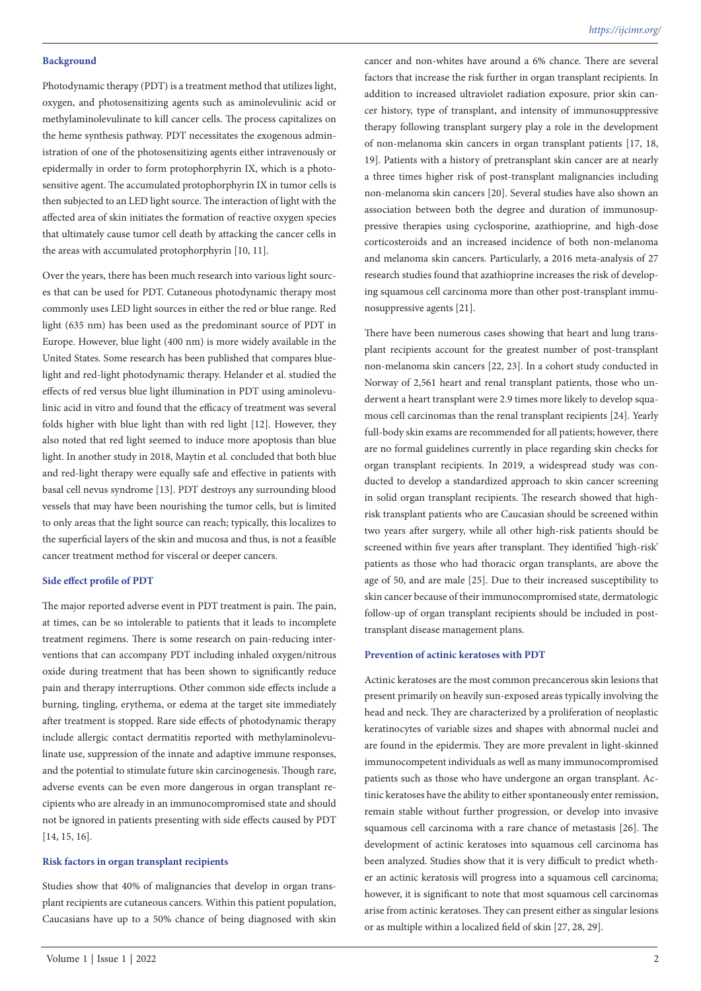# **Background**

Photodynamic therapy (PDT) is a treatment method that utilizes light, oxygen, and photosensitizing agents such as aminolevulinic acid or methylaminolevulinate to kill cancer cells. The process capitalizes on the heme synthesis pathway. PDT necessitates the exogenous administration of one of the photosensitizing agents either intravenously or epidermally in order to form protophorphyrin IX, which is a photosensitive agent. The accumulated protophorphyrin IX in tumor cells is then subjected to an LED light source. The interaction of light with the affected area of skin initiates the formation of reactive oxygen species that ultimately cause tumor cell death by attacking the cancer cells in the areas with accumulated protophorphyrin [10, 11].

Over the years, there has been much research into various light sources that can be used for PDT. Cutaneous photodynamic therapy most commonly uses LED light sources in either the red or blue range. Red light (635 nm) has been used as the predominant source of PDT in Europe. However, blue light (400 nm) is more widely available in the United States. Some research has been published that compares bluelight and red-light photodynamic therapy. Helander et al. studied the effects of red versus blue light illumination in PDT using aminolevulinic acid in vitro and found that the efficacy of treatment was several folds higher with blue light than with red light [12]. However, they also noted that red light seemed to induce more apoptosis than blue light. In another study in 2018, Maytin et al. concluded that both blue and red-light therapy were equally safe and effective in patients with basal cell nevus syndrome [13]. PDT destroys any surrounding blood vessels that may have been nourishing the tumor cells, but is limited to only areas that the light source can reach; typically, this localizes to the superficial layers of the skin and mucosa and thus, is not a feasible cancer treatment method for visceral or deeper cancers.

#### **Side effect profile of PDT**

The major reported adverse event in PDT treatment is pain. The pain, at times, can be so intolerable to patients that it leads to incomplete treatment regimens. There is some research on pain-reducing interventions that can accompany PDT including inhaled oxygen/nitrous oxide during treatment that has been shown to significantly reduce pain and therapy interruptions. Other common side effects include a burning, tingling, erythema, or edema at the target site immediately after treatment is stopped. Rare side effects of photodynamic therapy include allergic contact dermatitis reported with methylaminolevulinate use, suppression of the innate and adaptive immune responses, and the potential to stimulate future skin carcinogenesis. Though rare, adverse events can be even more dangerous in organ transplant recipients who are already in an immunocompromised state and should not be ignored in patients presenting with side effects caused by PDT [14, 15, 16].

#### **Risk factors in organ transplant recipients**

Studies show that 40% of malignancies that develop in organ transplant recipients are cutaneous cancers. Within this patient population, Caucasians have up to a 50% chance of being diagnosed with skin cancer and non-whites have around a 6% chance. There are several factors that increase the risk further in organ transplant recipients. In addition to increased ultraviolet radiation exposure, prior skin cancer history, type of transplant, and intensity of immunosuppressive therapy following transplant surgery play a role in the development of non-melanoma skin cancers in organ transplant patients [17, 18, 19]. Patients with a history of pretransplant skin cancer are at nearly a three times higher risk of post-transplant malignancies including non-melanoma skin cancers [20]. Several studies have also shown an association between both the degree and duration of immunosuppressive therapies using cyclosporine, azathioprine, and high-dose corticosteroids and an increased incidence of both non-melanoma and melanoma skin cancers. Particularly, a 2016 meta-analysis of 27 research studies found that azathioprine increases the risk of developing squamous cell carcinoma more than other post-transplant immunosuppressive agents [21].

There have been numerous cases showing that heart and lung transplant recipients account for the greatest number of post-transplant non-melanoma skin cancers [22, 23]. In a cohort study conducted in Norway of 2,561 heart and renal transplant patients, those who underwent a heart transplant were 2.9 times more likely to develop squamous cell carcinomas than the renal transplant recipients [24]. Yearly full-body skin exams are recommended for all patients; however, there are no formal guidelines currently in place regarding skin checks for organ transplant recipients. In 2019, a widespread study was conducted to develop a standardized approach to skin cancer screening in solid organ transplant recipients. The research showed that highrisk transplant patients who are Caucasian should be screened within two years after surgery, while all other high-risk patients should be screened within five years after transplant. They identified 'high-risk' patients as those who had thoracic organ transplants, are above the age of 50, and are male [25]. Due to their increased susceptibility to skin cancer because of their immunocompromised state, dermatologic follow-up of organ transplant recipients should be included in posttransplant disease management plans.

# **Prevention of actinic keratoses with PDT**

Actinic keratoses are the most common precancerous skin lesions that present primarily on heavily sun-exposed areas typically involving the head and neck. They are characterized by a proliferation of neoplastic keratinocytes of variable sizes and shapes with abnormal nuclei and are found in the epidermis. They are more prevalent in light-skinned immunocompetent individuals as well as many immunocompromised patients such as those who have undergone an organ transplant. Actinic keratoses have the ability to either spontaneously enter remission, remain stable without further progression, or develop into invasive squamous cell carcinoma with a rare chance of metastasis [26]. The development of actinic keratoses into squamous cell carcinoma has been analyzed. Studies show that it is very difficult to predict whether an actinic keratosis will progress into a squamous cell carcinoma; however, it is significant to note that most squamous cell carcinomas arise from actinic keratoses. They can present either as singular lesions or as multiple within a localized field of skin [27, 28, 29].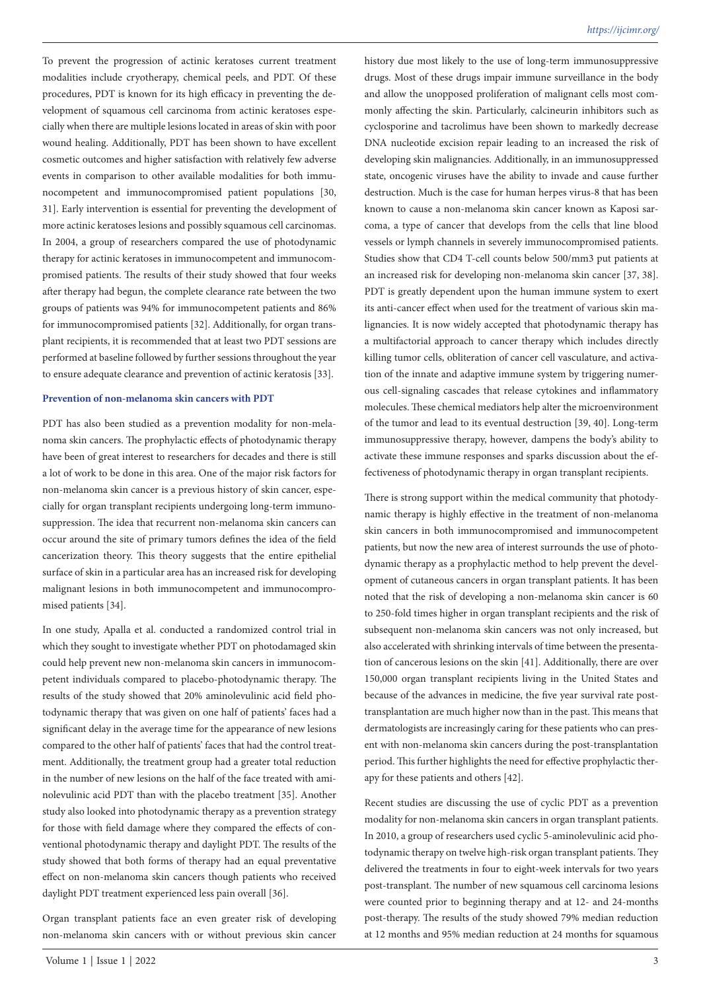To prevent the progression of actinic keratoses current treatment modalities include cryotherapy, chemical peels, and PDT. Of these procedures, PDT is known for its high efficacy in preventing the development of squamous cell carcinoma from actinic keratoses especially when there are multiple lesions located in areas of skin with poor wound healing. Additionally, PDT has been shown to have excellent cosmetic outcomes and higher satisfaction with relatively few adverse events in comparison to other available modalities for both immunocompetent and immunocompromised patient populations [30, 31]. Early intervention is essential for preventing the development of more actinic keratoses lesions and possibly squamous cell carcinomas. In 2004, a group of researchers compared the use of photodynamic therapy for actinic keratoses in immunocompetent and immunocompromised patients. The results of their study showed that four weeks after therapy had begun, the complete clearance rate between the two groups of patients was 94% for immunocompetent patients and 86% for immunocompromised patients [32]. Additionally, for organ transplant recipients, it is recommended that at least two PDT sessions are performed at baseline followed by further sessions throughout the year to ensure adequate clearance and prevention of actinic keratosis [33].

#### **Prevention of non-melanoma skin cancers with PDT**

PDT has also been studied as a prevention modality for non-melanoma skin cancers. The prophylactic effects of photodynamic therapy have been of great interest to researchers for decades and there is still a lot of work to be done in this area. One of the major risk factors for non-melanoma skin cancer is a previous history of skin cancer, especially for organ transplant recipients undergoing long-term immunosuppression. The idea that recurrent non-melanoma skin cancers can occur around the site of primary tumors defines the idea of the field cancerization theory. This theory suggests that the entire epithelial surface of skin in a particular area has an increased risk for developing malignant lesions in both immunocompetent and immunocompromised patients [34].

In one study, Apalla et al. conducted a randomized control trial in which they sought to investigate whether PDT on photodamaged skin could help prevent new non-melanoma skin cancers in immunocompetent individuals compared to placebo-photodynamic therapy. The results of the study showed that 20% aminolevulinic acid field photodynamic therapy that was given on one half of patients' faces had a significant delay in the average time for the appearance of new lesions compared to the other half of patients' faces that had the control treatment. Additionally, the treatment group had a greater total reduction in the number of new lesions on the half of the face treated with aminolevulinic acid PDT than with the placebo treatment [35]. Another study also looked into photodynamic therapy as a prevention strategy for those with field damage where they compared the effects of conventional photodynamic therapy and daylight PDT. The results of the study showed that both forms of therapy had an equal preventative effect on non-melanoma skin cancers though patients who received daylight PDT treatment experienced less pain overall [36].

Organ transplant patients face an even greater risk of developing non-melanoma skin cancers with or without previous skin cancer

history due most likely to the use of long-term immunosuppressive drugs. Most of these drugs impair immune surveillance in the body and allow the unopposed proliferation of malignant cells most commonly affecting the skin. Particularly, calcineurin inhibitors such as cyclosporine and tacrolimus have been shown to markedly decrease DNA nucleotide excision repair leading to an increased the risk of developing skin malignancies. Additionally, in an immunosuppressed state, oncogenic viruses have the ability to invade and cause further destruction. Much is the case for human herpes virus-8 that has been known to cause a non-melanoma skin cancer known as Kaposi sarcoma, a type of cancer that develops from the cells that line blood vessels or lymph channels in severely immunocompromised patients. Studies show that CD4 T-cell counts below 500/mm3 put patients at an increased risk for developing non-melanoma skin cancer [37, 38]. PDT is greatly dependent upon the human immune system to exert its anti-cancer effect when used for the treatment of various skin malignancies. It is now widely accepted that photodynamic therapy has a multifactorial approach to cancer therapy which includes directly killing tumor cells, obliteration of cancer cell vasculature, and activation of the innate and adaptive immune system by triggering numerous cell-signaling cascades that release cytokines and inflammatory molecules. These chemical mediators help alter the microenvironment of the tumor and lead to its eventual destruction [39, 40]. Long-term immunosuppressive therapy, however, dampens the body's ability to activate these immune responses and sparks discussion about the effectiveness of photodynamic therapy in organ transplant recipients.

There is strong support within the medical community that photodynamic therapy is highly effective in the treatment of non-melanoma skin cancers in both immunocompromised and immunocompetent patients, but now the new area of interest surrounds the use of photodynamic therapy as a prophylactic method to help prevent the development of cutaneous cancers in organ transplant patients. It has been noted that the risk of developing a non-melanoma skin cancer is 60 to 250-fold times higher in organ transplant recipients and the risk of subsequent non-melanoma skin cancers was not only increased, but also accelerated with shrinking intervals of time between the presentation of cancerous lesions on the skin [41]. Additionally, there are over 150,000 organ transplant recipients living in the United States and because of the advances in medicine, the five year survival rate posttransplantation are much higher now than in the past. This means that dermatologists are increasingly caring for these patients who can present with non-melanoma skin cancers during the post-transplantation period. This further highlights the need for effective prophylactic therapy for these patients and others [42].

Recent studies are discussing the use of cyclic PDT as a prevention modality for non-melanoma skin cancers in organ transplant patients. In 2010, a group of researchers used cyclic 5-aminolevulinic acid photodynamic therapy on twelve high-risk organ transplant patients. They delivered the treatments in four to eight-week intervals for two years post-transplant. The number of new squamous cell carcinoma lesions were counted prior to beginning therapy and at 12- and 24-months post-therapy. The results of the study showed 79% median reduction at 12 months and 95% median reduction at 24 months for squamous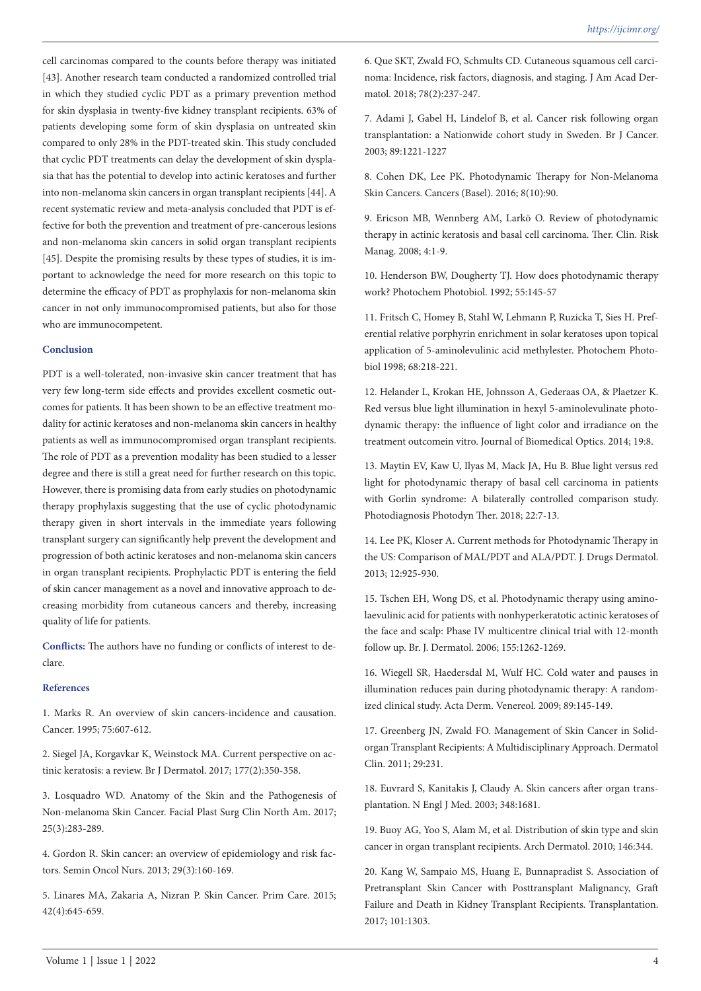cell carcinomas compared to the counts before therapy was initiated [43]. Another research team conducted a randomized controlled trial in which they studied cyclic PDT as a primary prevention method for skin dysplasia in twenty-five kidney transplant recipients. 63% of patients developing some form of skin dysplasia on untreated skin compared to only 28% in the PDT-treated skin. This study concluded that cyclic PDT treatments can delay the development of skin dysplasia that has the potential to develop into actinic keratoses and further into non-melanoma skin cancers in organ transplant recipients [44]. A recent systematic review and meta-analysis concluded that PDT is effective for both the prevention and treatment of pre-cancerous lesions and non-melanoma skin cancers in solid organ transplant recipients [45]. Despite the promising results by these types of studies, it is important to acknowledge the need for more research on this topic to determine the efficacy of PDT as prophylaxis for non-melanoma skin cancer in not only immunocompromised patients, but also for those who are immunocompetent.

## **Conclusion**

PDT is a well-tolerated, non-invasive skin cancer treatment that has very few long-term side effects and provides excellent cosmetic outcomes for patients. It has been shown to be an effective treatment modality for actinic keratoses and non-melanoma skin cancers in healthy patients as well as immunocompromised organ transplant recipients. The role of PDT as a prevention modality has been studied to a lesser degree and there is still a great need for further research on this topic. However, there is promising data from early studies on photodynamic therapy prophylaxis suggesting that the use of cyclic photodynamic therapy given in short intervals in the immediate years following transplant surgery can significantly help prevent the development and progression of both actinic keratoses and non-melanoma skin cancers in organ transplant recipients. Prophylactic PDT is entering the field of skin cancer management as a novel and innovative approach to decreasing morbidity from cutaneous cancers and thereby, increasing quality of life for patients.

**Conflicts:** The authors have no funding or conflicts of interest to declare.

# **References**

1. Marks R. An overview of skin cancers-incidence and causation. Cancer. 1995; 75:607-612.

2. Siegel JA, Korgavkar K, Weinstock MA. Current perspective on actinic keratosis: a review. Br J Dermatol. 2017; 177(2):350-358.

3. Losquadro WD. Anatomy of the Skin and the Pathogenesis of Non-melanoma Skin Cancer. Facial Plast Surg Clin North Am. 2017; 25(3):283-289.

4. Gordon R. Skin cancer: an overview of epidemiology and risk factors. Semin Oncol Nurs. 2013; 29(3):160-169.

5. Linares MA, Zakaria A, Nizran P. Skin Cancer. Prim Care. 2015; 42(4):645-659.

6. Que SKT, Zwald FO, Schmults CD. Cutaneous squamous cell carcinoma: Incidence, risk factors, diagnosis, and staging. J Am Acad Dermatol. 2018; 78(2):237-247.

7. Adami J, Gabel H, Lindelof B, et al. Cancer risk following organ transplantation: a Nationwide cohort study in Sweden. Br J Cancer. 2003; 89:1221-1227

8. Cohen DK, Lee PK. Photodynamic Therapy for Non-Melanoma Skin Cancers. Cancers (Basel). 2016; 8(10):90.

9. Ericson MB, Wennberg AM, Larkö O. Review of photodynamic therapy in actinic keratosis and basal cell carcinoma. Ther. Clin. Risk Manag. 2008; 4:1-9.

10. Henderson BW, Dougherty TJ. How does photodynamic therapy work? Photochem Photobiol. 1992; 55:145-57

11. Fritsch C, Homey B, Stahl W, Lehmann P, Ruzicka T, Sies H. Preferential relative porphyrin enrichment in solar keratoses upon topical application of 5-aminolevulinic acid methylester. Photochem Photobiol 1998; 68:218-221.

12. Helander L, Krokan HE, Johnsson A, Gederaas OA, & Plaetzer K. Red versus blue light illumination in hexyl 5-aminolevulinate photodynamic therapy: the influence of light color and irradiance on the treatment outcomein vitro. Journal of Biomedical Optics. 2014; 19:8.

13. Maytin EV, Kaw U, Ilyas M, Mack JA, Hu B. Blue light versus red light for photodynamic therapy of basal cell carcinoma in patients with Gorlin syndrome: A bilaterally controlled comparison study. Photodiagnosis Photodyn Ther. 2018; 22:7-13.

14. Lee PK, Kloser A. Current methods for Photodynamic Therapy in the US: Comparison of MAL/PDT and ALA/PDT. J. Drugs Dermatol. 2013; 12:925-930.

15. Tschen EH, Wong DS, et al. Photodynamic therapy using aminolaevulinic acid for patients with nonhyperkeratotic actinic keratoses of the face and scalp: Phase IV multicentre clinical trial with 12-month follow up. Br. J. Dermatol. 2006; 155:1262-1269.

16. Wiegell SR, Haedersdal M, Wulf HC. Cold water and pauses in illumination reduces pain during photodynamic therapy: A randomized clinical study. Acta Derm. Venereol. 2009; 89:145-149.

17. Greenberg JN, Zwald FO. Management of Skin Cancer in Solidorgan Transplant Recipients: A Multidisciplinary Approach. Dermatol Clin. 2011; 29:231.

18. Euvrard S, Kanitakis J, Claudy A. Skin cancers after organ transplantation. N Engl J Med. 2003; 348:1681.

19. Buoy AG, Yoo S, Alam M, et al. Distribution of skin type and skin cancer in organ transplant recipients. Arch Dermatol. 2010; 146:344.

20. Kang W, Sampaio MS, Huang E, Bunnapradist S. Association of Pretransplant Skin Cancer with Posttransplant Malignancy, Graft Failure and Death in Kidney Transplant Recipients. Transplantation. 2017; 101:1303.